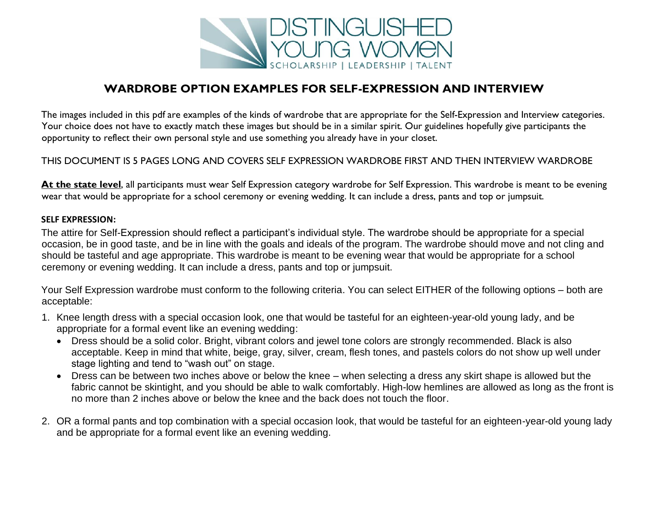

### **WARDROBE OPTION EXAMPLES FOR SELF-EXPRESSION AND INTERVIEW**

The images included in this pdf are examples of the kinds of wardrobe that are appropriate for the Self-Expression and Interview categories. Your choice does not have to exactly match these images but should be in a similar spirit. Our guidelines hopefully give participants the opportunity to reflect their own personal style and use something you already have in your closet.

#### THIS DOCUMENT IS 5 PAGES LONG AND COVERS SELF EXPRESSION WARDROBE FIRST AND THEN INTERVIEW WARDROBE

At the state level, all participants must wear Self Expression category wardrobe for Self Expression. This wardrobe is meant to be evening wear that would be appropriate for a school ceremony or evening wedding. It can include a dress, pants and top or jumpsuit.

#### **SELF EXPRESSION:**

The attire for Self-Expression should reflect a participant's individual style. The wardrobe should be appropriate for a special occasion, be in good taste, and be in line with the goals and ideals of the program. The wardrobe should move and not cling and should be tasteful and age appropriate. This wardrobe is meant to be evening wear that would be appropriate for a school ceremony or evening wedding. It can include a dress, pants and top or jumpsuit.

Your Self Expression wardrobe must conform to the following criteria. You can select EITHER of the following options – both are acceptable:

- 1. Knee length dress with a special occasion look, one that would be tasteful for an eighteen-year-old young lady, and be appropriate for a formal event like an evening wedding:
	- Dress should be a solid color. Bright, vibrant colors and jewel tone colors are strongly recommended. Black is also acceptable. Keep in mind that white, beige, gray, silver, cream, flesh tones, and pastels colors do not show up well under stage lighting and tend to "wash out" on stage.
	- Dress can be between two inches above or below the knee when selecting a dress any skirt shape is allowed but the fabric cannot be skintight, and you should be able to walk comfortably. High-low hemlines are allowed as long as the front is no more than 2 inches above or below the knee and the back does not touch the floor.
- 2. OR a formal pants and top combination with a special occasion look, that would be tasteful for an eighteen-year-old young lady and be appropriate for a formal event like an evening wedding.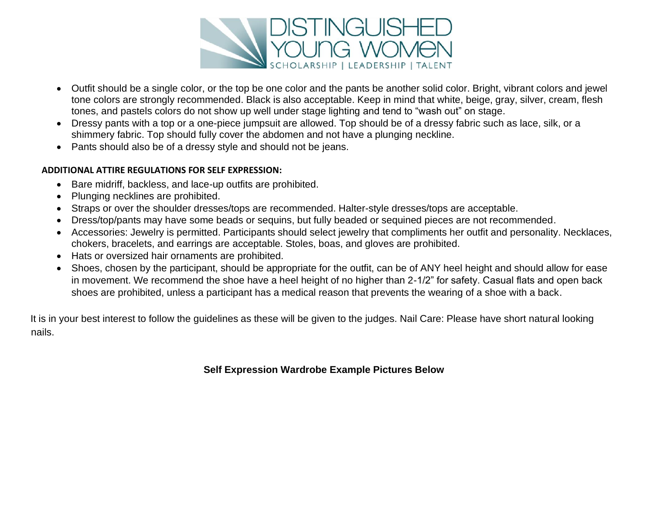

- Outfit should be a single color, or the top be one color and the pants be another solid color. Bright, vibrant colors and jewel tone colors are strongly recommended. Black is also acceptable. Keep in mind that white, beige, gray, silver, cream, flesh tones, and pastels colors do not show up well under stage lighting and tend to "wash out" on stage.
- Dressy pants with a top or a one-piece jumpsuit are allowed. Top should be of a dressy fabric such as lace, silk, or a shimmery fabric. Top should fully cover the abdomen and not have a plunging neckline.
- Pants should also be of a dressy style and should not be jeans.

#### **ADDITIONAL ATTIRE REGULATIONS FOR SELF EXPRESSION:**

- Bare midriff, backless, and lace-up outfits are prohibited.
- Plunging necklines are prohibited.
- Straps or over the shoulder dresses/tops are recommended. Halter-style dresses/tops are acceptable.
- Dress/top/pants may have some beads or sequins, but fully beaded or sequined pieces are not recommended.
- Accessories: Jewelry is permitted. Participants should select jewelry that compliments her outfit and personality. Necklaces, chokers, bracelets, and earrings are acceptable. Stoles, boas, and gloves are prohibited.
- Hats or oversized hair ornaments are prohibited.
- Shoes, chosen by the participant, should be appropriate for the outfit, can be of ANY heel height and should allow for ease in movement. We recommend the shoe have a heel height of no higher than 2-1/2" for safety. Casual flats and open back shoes are prohibited, unless a participant has a medical reason that prevents the wearing of a shoe with a back.

It is in your best interest to follow the guidelines as these will be given to the judges. Nail Care: Please have short natural looking nails.

**Self Expression Wardrobe Example Pictures Below**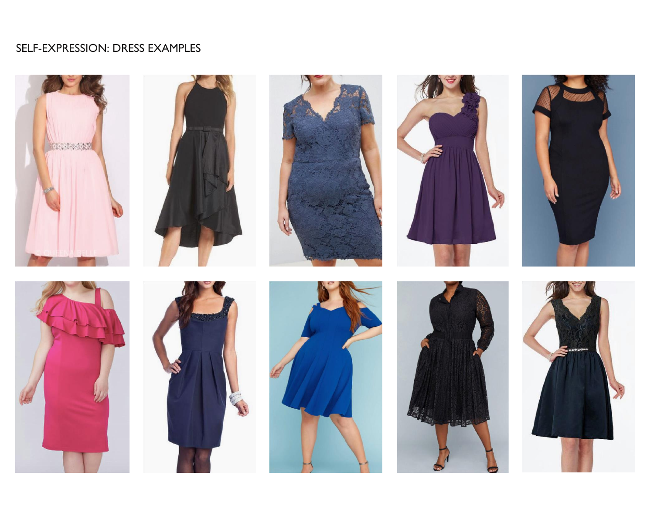## SELF-EXPRESSION: DRESS EXAMPLES

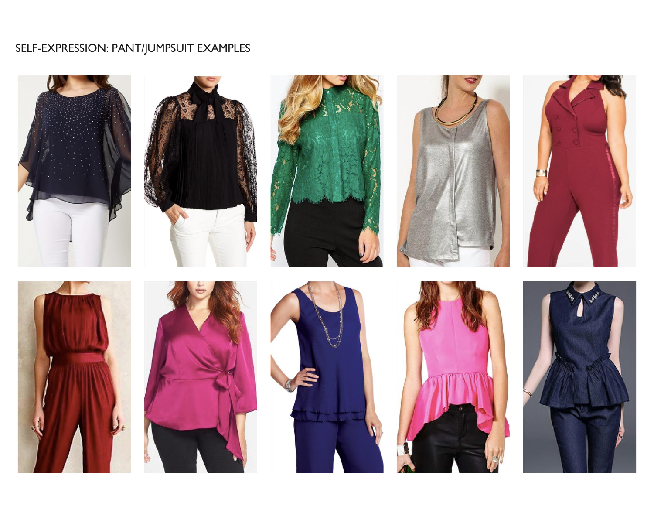# SELF-EXPRESSION: PANT/JUMPSUIT EXAMPLES